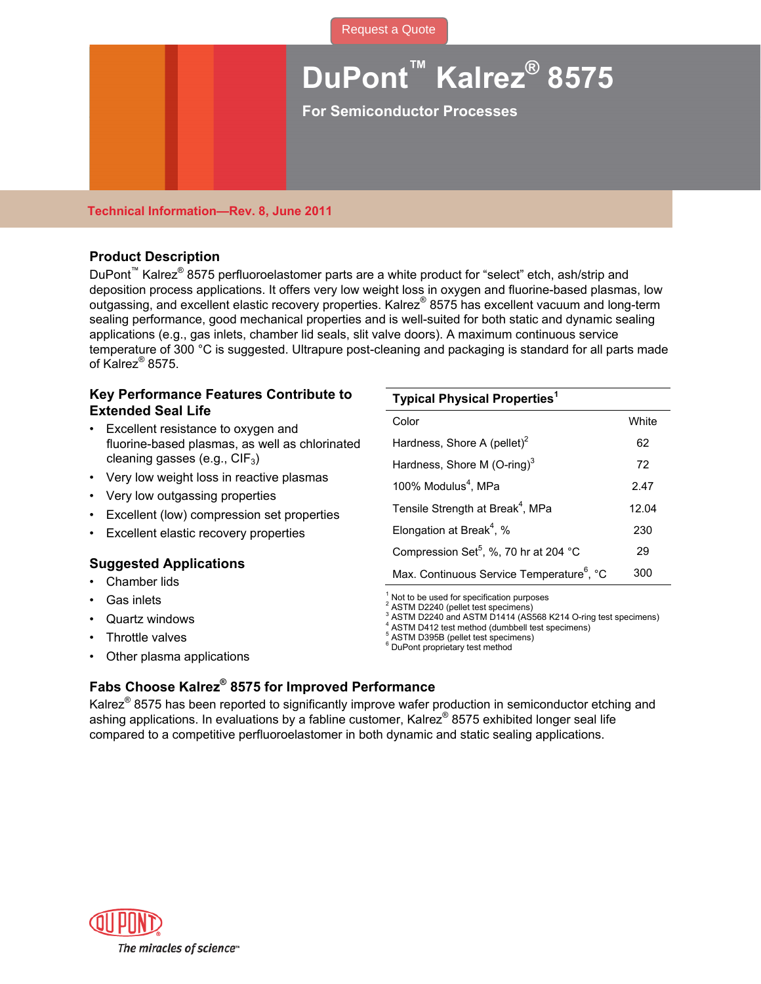

# **DuPont™ Kalrez® 8575**

**For Semiconductor Processes** 

### **Technical Information—Rev. 8, June 2011**

### **Product Description**

DuPont<sup>™</sup> Kalrez<sup>®</sup> 8575 perfluoroelastomer parts are a white product for "select" etch, ash/strip and deposition process applications. It offers very low weight loss in oxygen and fluorine-based plasmas, low outgassing, and excellent elastic recovery properties. Kalrez® 8575 has excellent vacuum and long-term sealing performance, good mechanical properties and is well-suited for both static and dynamic sealing applications (e.g., gas inlets, chamber lid seals, slit valve doors). A maximum continuous service temperature of 300 °C is suggested. Ultrapure post-cleaning and packaging is standard for all parts made of Kalrez® 8575.

### **Key Performance Features Contribute to Extended Seal Life**

- Excellent resistance to oxygen and fluorine-based plasmas, as well as chlorinated cleaning gasses (e.g.,  $CIF_3$ )
- Very low weight loss in reactive plasmas
- Very low outgassing properties
- Excellent (low) compression set properties
- Excellent elastic recovery properties

### **Suggested Applications**

- Chamber lids
- Gas inlets
- Quartz windows
- Throttle valves
- Other plasma applications

| <b>Typical Physical Properties</b> <sup>1</sup>       |       |  |  |
|-------------------------------------------------------|-------|--|--|
| Color                                                 | White |  |  |
| Hardness, Shore A (pellet) <sup>2</sup>               | 62    |  |  |
| Hardness, Shore M (O-ring) $3$                        | 72    |  |  |
| 100% Modulus <sup>4</sup> , MPa                       | 2.47  |  |  |
| Tensile Strength at Break <sup>4</sup> , MPa          | 12.04 |  |  |
| Elongation at Break <sup>4</sup> , %                  | 230   |  |  |
| Compression Set <sup>5</sup> , %, 70 hr at 204 °C     | 29    |  |  |
| Max. Continuous Service Temperature <sup>6</sup> , °C | 300   |  |  |

 $1$  Not to be used for specification purposes

2 ASTM D2240 (pellet test specimens)

<sup>3</sup> ASTM D2240 and ASTM D1414 (AS568 K214 O-ring test specimens)

<sup>4</sup> ASTM D412 test method (dumbbell test specimens)

5 ASTM D395B (pellet test specimens)

6 DuPont proprietary test method

## **Fabs Choose Kalrez® 8575 for Improved Performance**

Kalrez<sup>®</sup> 8575 has been reported to significantly improve wafer production in semiconductor etching and ashing applications. In evaluations by a fabline customer, Kalrez® 8575 exhibited longer seal life compared to a competitive perfluoroelastomer in both dynamic and static sealing applications.